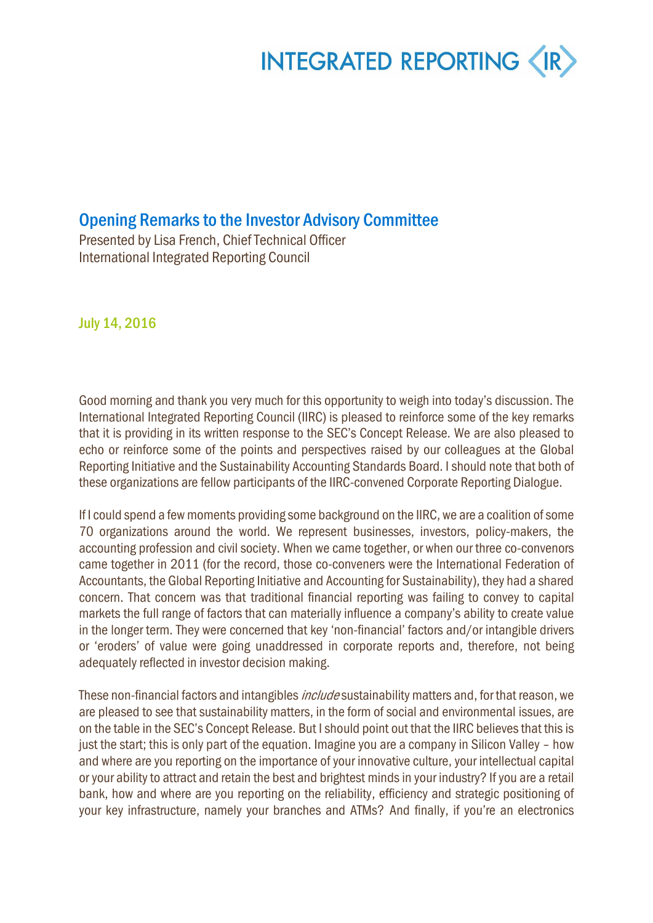### Opening Remarks to the Investor Advisory Committee

Presented by Lisa French, Chief Technical Officer International Integrated Reporting Council

July 14, 2016

Good morning and thank you very much for this opportunity to weigh into today's discussion. The International Integrated Reporting Council (IIRC) is pleased to reinforce some of the key remarks that it is providing in its written response to the SEC's Concept Release. We are also pleased to echo or reinforce some of the points and perspectives raised by our colleagues at the Global Reporting Initiative and the Sustainability Accounting Standards Board. I should note that both of these organizations are fellow participants of the IIRC-convened Corporate Reporting Dialogue.

If I could spend a few moments providing some background on the IIRC, we are a coalition of some 70 organizations around the world. We represent businesses, investors, policy-makers, the accounting profession and civil society. When we came together, or when our three co-convenors came together in 2011 (for the record, those co-conveners were the International Federation of Accountants, the Global Reporting Initiative and Accounting for Sustainability), they had a shared concern. That concern was that traditional financial reporting was failing to convey to capital markets the full range of factors that can materially influence a company's ability to create value in the longer term. They were concerned that key 'non-financial' factors and/or intangible drivers or 'eroders' of value were going unaddressed in corporate reports and, therefore, not being adequately reflected in investor decision making.

These non-financial factors and intangibles *include* sustainability matters and, for that reason, we are pleased to see that sustainability matters, in the form of social and environmental issues, are on the table in the SEC's Concept Release. But I should point out that the IIRC believes that this is just the start; this is only part of the equation. Imagine you are a company in Silicon Valley – how and where are you reporting on the importance of your innovative culture, your intellectual capital or your ability to attract and retain the best and brightest minds in your industry? If you are a retail bank, how and where are you reporting on the reliability, efficiency and strategic positioning of your key infrastructure, namely your branches and ATMs? And finally, if you're an electronics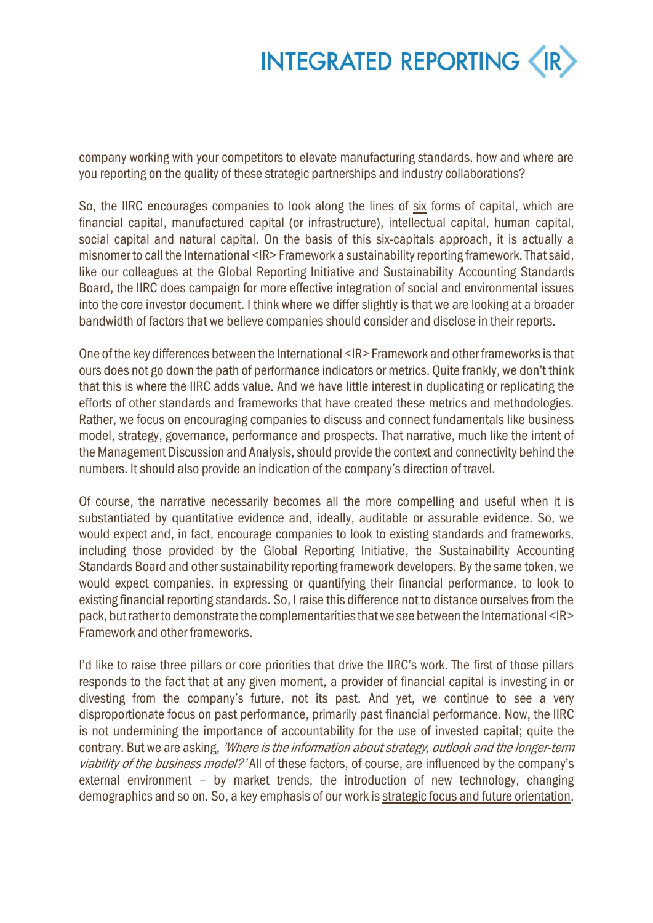

company working with your competitors to elevate manufacturing standards, how and where are you reporting on the quality of these strategic partnerships and industry collaborations?

So, the IIRC encourages companies to look along the lines of six forms of capital, which are financial capital, manufactured capital (or infrastructure), intellectual capital, human capital, social capital and natural capital. On the basis of this six-capitals approach, it is actually a misnomer to call the International <IR>Framework a sustainability reporting framework. That said, like our colleagues at the Global Reporting Initiative and Sustainability Accounting Standards Board, the IIRC does campaign for more effective integration of social and environmental issues into the core investor document. I think where we differ slightly is that we are looking at a broader bandwidth of factors that we believe companies should consider and disclose in their reports.

One of the key differences between the International <IR> Framework and other frameworks is that ours does not go down the path of performance indicators or metrics. Quite frankly, we don't think that this is where the IIRC adds value. And we have little interest in duplicating or replicating the efforts of other standards and frameworks that have created these metrics and methodologies. Rather, we focus on encouraging companies to discuss and connect fundamentals like business model, strategy, governance, performance and prospects. That narrative, much like the intent of the Management Discussion and Analysis, should provide the context and connectivity behind the numbers. It should also provide an indication of the company's direction of travel.

Of course, the narrative necessarily becomes all the more compelling and useful when it is substantiated by quantitative evidence and, ideally, auditable or assurable evidence. So, we would expect and, in fact, encourage companies to look to existing standards and frameworks, including those provided by the Global Reporting Initiative, the Sustainability Accounting Standards Board and other sustainability reporting framework developers. By the same token, we would expect companies, in expressing or quantifying their financial performance, to look to existing financial reporting standards. So, I raise this difference not to distance ourselves from the pack, but rather to demonstrate the complementaritiesthat we see between the International <IR> Framework and other frameworks.

I'd like to raise three pillars or core priorities that drive the IIRC's work. The first of those pillars responds to the fact that at any given moment, a provider of financial capital is investing in or divesting from the company's future, not its past. And yet, we continue to see a very disproportionate focus on past performance, primarily past financial performance. Now, the IIRC is not undermining the importance of accountability for the use of invested capital; quite the contrary. But we are asking, 'Where is the information about strategy, outlook and the longer-term viability of the business model?' All of these factors, of course, are influenced by the company's external environment – by market trends, the introduction of new technology, changing demographics and so on. So, a key emphasis of our work is strategic focus and future orientation.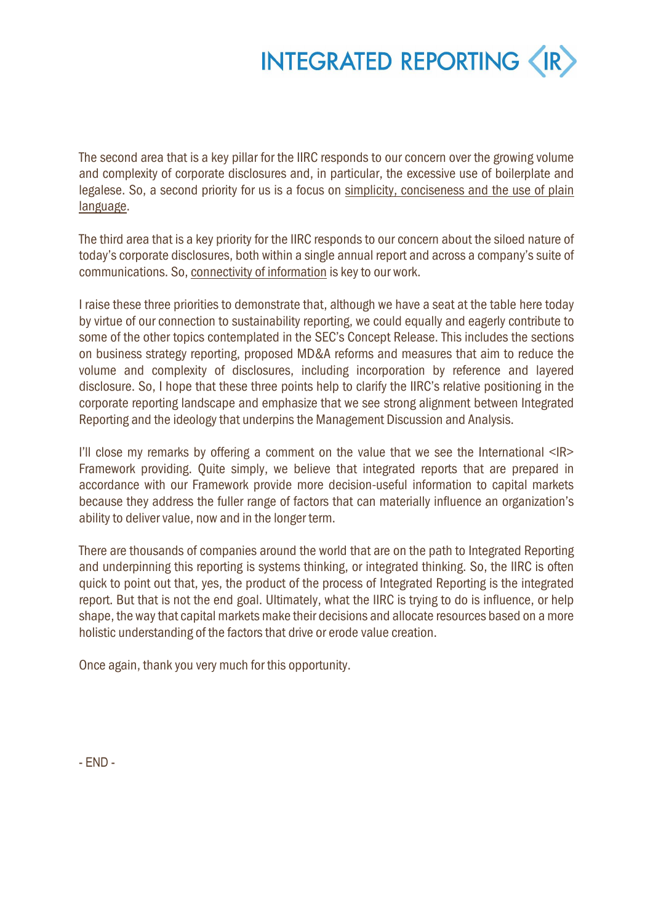

The second area that is a key pillar for the IIRC responds to our concern over the growing volume and complexity of corporate disclosures and, in particular, the excessive use of boilerplate and legalese. So, a second priority for us is a focus on simplicity, conciseness and the use of plain language.

The third area that is a key priority for the IIRC responds to our concern about the siloed nature of today's corporate disclosures, both within a single annual report and across a company's suite of communications. So, connectivity of information is key to our work.

I raise these three priorities to demonstrate that, although we have a seat at the table here today by virtue of our connection to sustainability reporting, we could equally and eagerly contribute to some of the other topics contemplated in the SEC's Concept Release. This includes the sections on business strategy reporting, proposed MD&A reforms and measures that aim to reduce the volume and complexity of disclosures, including incorporation by reference and layered disclosure. So, I hope that these three points help to clarify the IIRC's relative positioning in the corporate reporting landscape and emphasize that we see strong alignment between Integrated Reporting and the ideology that underpins the Management Discussion and Analysis.

I'll close my remarks by offering a comment on the value that we see the International <IR> Framework providing. Quite simply, we believe that integrated reports that are prepared in accordance with our Framework provide more decision-useful information to capital markets because they address the fuller range of factors that can materially influence an organization's ability to deliver value, now and in the longer term.

There are thousands of companies around the world that are on the path to Integrated Reporting and underpinning this reporting is systems thinking, or integrated thinking. So, the IIRC is often quick to point out that, yes, the product of the process of Integrated Reporting is the integrated report. But that is not the end goal. Ultimately, what the IIRC is trying to do is influence, or help shape, the way that capital markets make their decisions and allocate resources based on a more holistic understanding of the factors that drive or erode value creation.

Once again, thank you very much for this opportunity.

- END -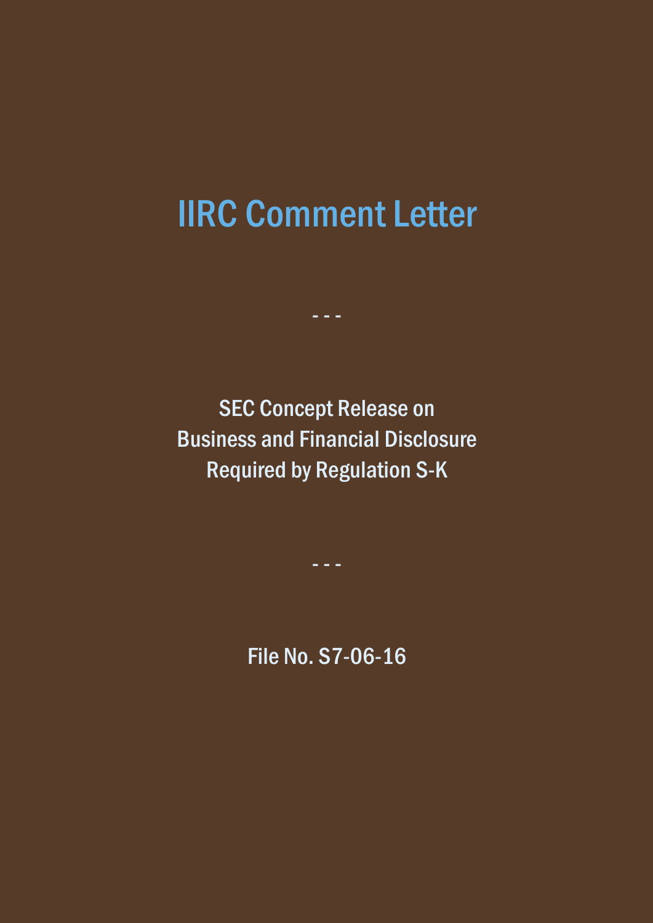# IIRC Comment Letter

- - -

SEC Concept Release on Business and Financial Disclosure Required by Regulation S-K

- - -

File No. S7-06-16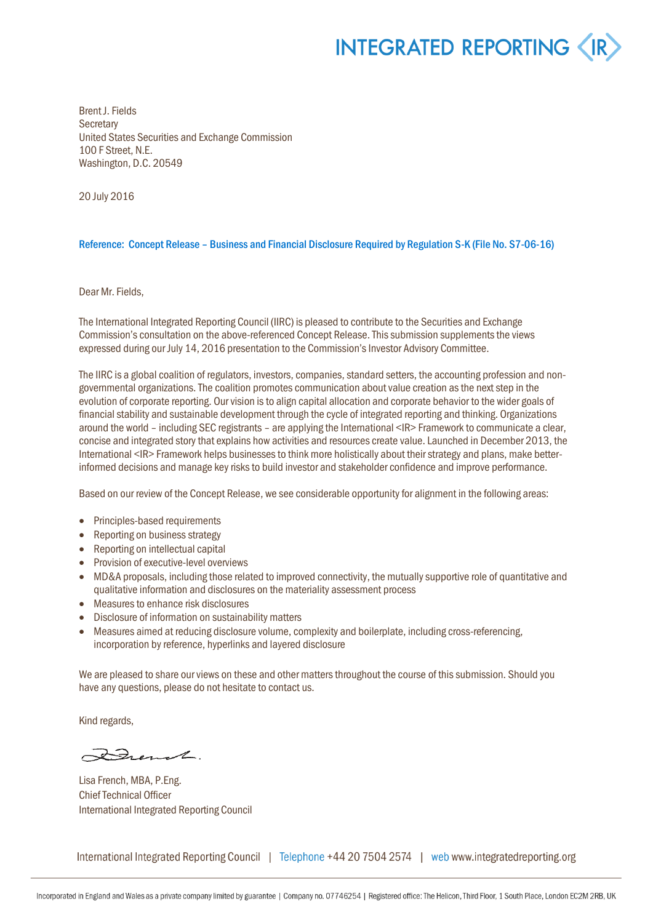Brent J. Fields **Secretary** United States Securities and Exchange Commission 100 F Street, N.E. Washington, D.C. 20549

20 July 2016

#### Reference: Concept Release – Business and Financial Disclosure Required by Regulation S-K (File No. S7-06-16)

Dear Mr. Fields,

The International Integrated Reporting Council (IIRC) is pleased to contribute to the Securities and Exchange Commission's consultation on the above-referenced Concept Release. This submission supplements the views expressed during our July 14, 2016 presentation to the Commission's Investor Advisory Committee.

The IIRC is a global coalition of regulators, investors, companies, standard setters, the accounting profession and nongovernmental organizations. The coalition promotes communication about value creation as the next step in the evolution of corporate reporting. Our vision is to align capital allocation and corporate behavior to the wider goals of financial stability and sustainable development through the cycle of integrated reporting and thinking. Organizations around the world – including SEC registrants – are applying the International <IR> Framework to communicate a clear, concise and integrated story that explains how activities and resources create value. Launched in December 2013, the International <IR> Framework helps businesses to think more holistically about their strategy and plans, make betterinformed decisions and manage key risks to build investor and stakeholder confidence and improve performance.

Based on our review of the Concept Release, we see considerable opportunity for alignment in the following areas:

- Principles-based requirements
- Reporting on business strategy
- Reporting on intellectual capital
- Provision of executive-level overviews
- MD&A proposals, including those related to improved connectivity, the mutually supportive role of quantitative and qualitative information and disclosures on the materiality assessment process
- Measures to enhance risk disclosures
- Disclosure of information on sustainability matters
- Measures aimed at reducing disclosure volume, complexity and boilerplate, including cross-referencing, incorporation by reference, hyperlinks and layered disclosure

We are pleased to share our views on these and other matters throughout the course of this submission. Should you have any questions, please do not hesitate to contact us.

Kind regards,

French.

Lisa French, MBA, P.Eng. Chief Technical Officer International Integrated Reporting Council

International Integrated Reporting Council | Telephone +44 20 7504 2574 | web www.integratedreporting.org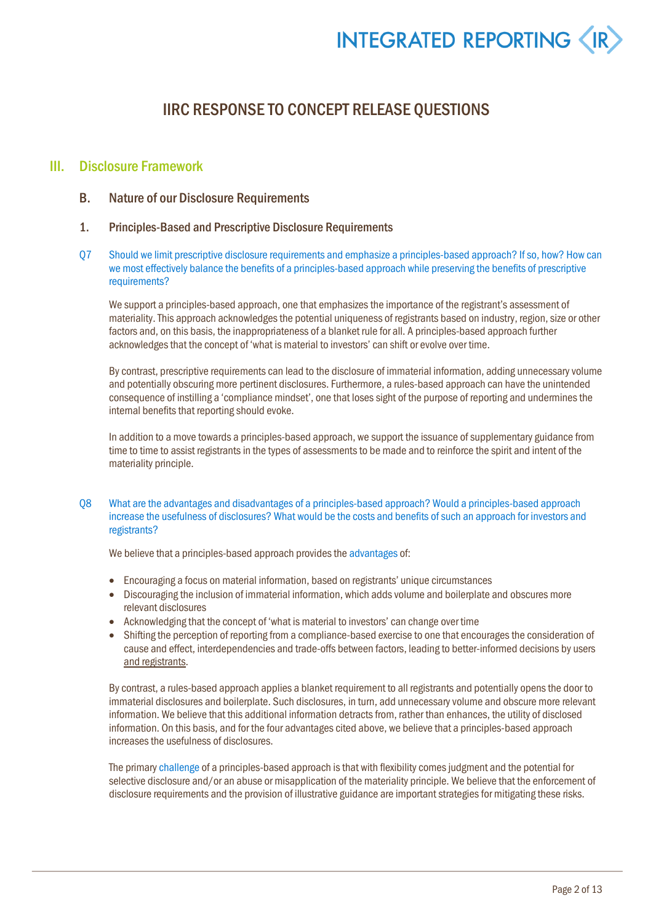### IIRC RESPONSE TO CONCEPT RELEASE QUESTIONS

#### III. Disclosure Framework

- B. Nature of our Disclosure Requirements
- 1. Principles-Based and Prescriptive Disclosure Requirements
- <span id="page-5-0"></span>Q7 Should we limit prescriptive disclosure requirements and emphasize a principles-based approach? If so, how? How can we most effectively balance the benefits of a principles-based approach while preserving the benefits of prescriptive requirements?

We support a principles-based approach, one that emphasizes the importance of the registrant's assessment of materiality. This approach acknowledges the potential uniqueness of registrants based on industry, region, size or other factors and, on this basis, the inappropriateness of a blanket rule for all. A principles-based approach further acknowledges that the concept of 'what is material to investors' can shift or evolve over time.

By contrast, prescriptive requirements can lead to the disclosure of immaterial information, adding unnecessary volume and potentially obscuring more pertinent disclosures. Furthermore, a rules-based approach can have the unintended consequence of instilling a 'compliance mindset', one that loses sight of the purpose of reporting and undermines the internal benefits that reporting should evoke.

In addition to a move towards a principles-based approach, we support the issuance of supplementary guidance from time to time to assist registrants in the types of assessments to be made and to reinforce the spirit and intent of the materiality principle.

<span id="page-5-1"></span>Q8 What are the advantages and disadvantages of a principles-based approach? Would a principles-based approach increase the usefulness of disclosures? What would be the costs and benefits of such an approach for investors and registrants?

We believe that a principles-based approach provides the advantages of:

- Encouraging a focus on material information, based on registrants' unique circumstances
- Discouraging the inclusion of immaterial information, which adds volume and boilerplate and obscures more relevant disclosures
- Acknowledging that the concept of 'what is material to investors' can change over time
- Shifting the perception of reporting from a compliance-based exercise to one that encourages the consideration of cause and effect, interdependencies and trade-offs between factors, leading to better-informed decisions by users and registrants.

By contrast, a rules-based approach applies a blanket requirement to all registrants and potentially opensthe door to immaterial disclosures and boilerplate. Such disclosures, in turn, add unnecessary volume and obscure more relevant information. We believe that this additional information detracts from, rather than enhances, the utility of disclosed information. On this basis, and for the four advantages cited above, we believe that a principles-based approach increases the usefulness of disclosures.

The primary challenge of a principles-based approach is that with flexibility comes judgment and the potential for selective disclosure and/or an abuse or misapplication of the materiality principle. We believe that the enforcement of disclosure requirements and the provision of illustrative guidance are important strategies for mitigating these risks.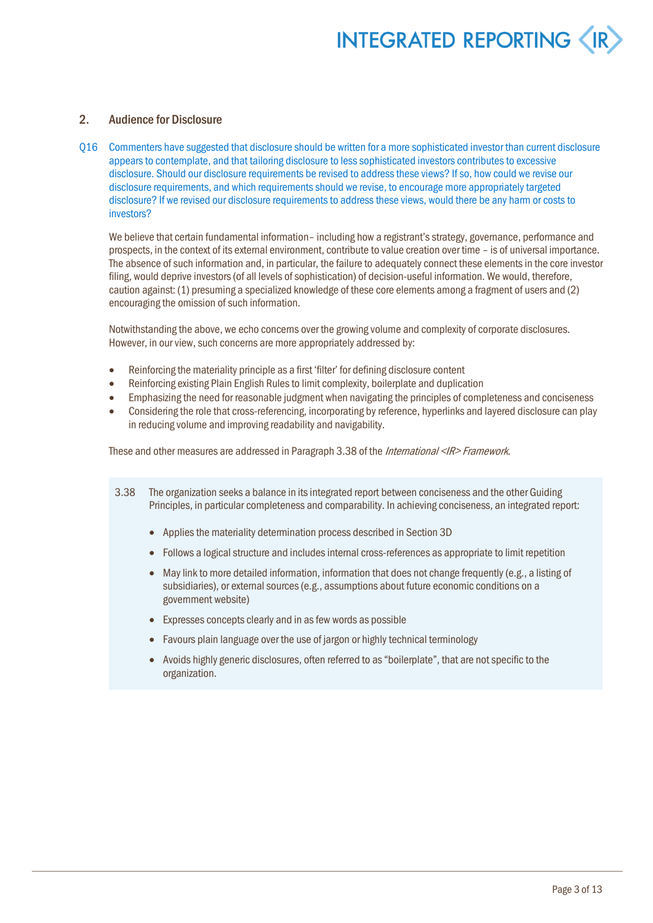#### 2. Audience for Disclosure

Q16 Commenters have suggested that disclosure should be written for a more sophisticated investor than current disclosure appears to contemplate, and that tailoring disclosure to less sophisticated investors contributes to excessive disclosure. Should our disclosure requirements be revised to address these views? If so, how could we revise our disclosure requirements, and which requirements should we revise, to encourage more appropriately targeted disclosure? If we revised our disclosure requirements to address these views, would there be any harm or costs to investors?

We believe that certain fundamental information-including how a registrant's strategy, governance, performance and prospects, in the context of its external environment, contribute to value creation over time – is of universal importance. The absence of such information and, in particular, the failure to adequately connect these elements in the core investor filing, would deprive investors (of all levels of sophistication) of decision-useful information. We would, therefore, caution against: (1) presuming a specialized knowledge of these core elements among a fragment of users and (2) encouraging the omission of such information.

Notwithstanding the above, we echo concerns over the growing volume and complexity of corporate disclosures. However, in our view, such concerns are more appropriately addressed by:

- Reinforcing the materiality principle as a first 'filter' for defining disclosure content
- Reinforcing existing Plain English Rules to limit complexity, boilerplate and duplication
- Emphasizing the need for reasonable judgment when navigating the principles of completeness and conciseness
- Considering the role that cross-referencing, incorporating by reference, hyperlinks and layered disclosure can play in reducing volume and improving readability and navigability.

These and other measures are addressed in Paragraph 3.38 of the International <IR> Framework.

- 3.38 The organization seeks a balance in its integrated report between conciseness and the other Guiding Principles, in particular completeness and comparability. In achieving conciseness, an integrated report:
	- Applies the materiality determination process described in Section 3D
	- Follows a logical structure and includes internal cross-references as appropriate to limit repetition
	- May link to more detailed information, information that does not change frequently (e.g., a listing of subsidiaries), or external sources (e.g., assumptions about future economic conditions on a government website)
	- Expresses concepts clearly and in as few words as possible
	- Favours plain language over the use of jargon or highly technical terminology
	- Avoids highly generic disclosures, often referred to as "boilerplate", that are not specific to the organization.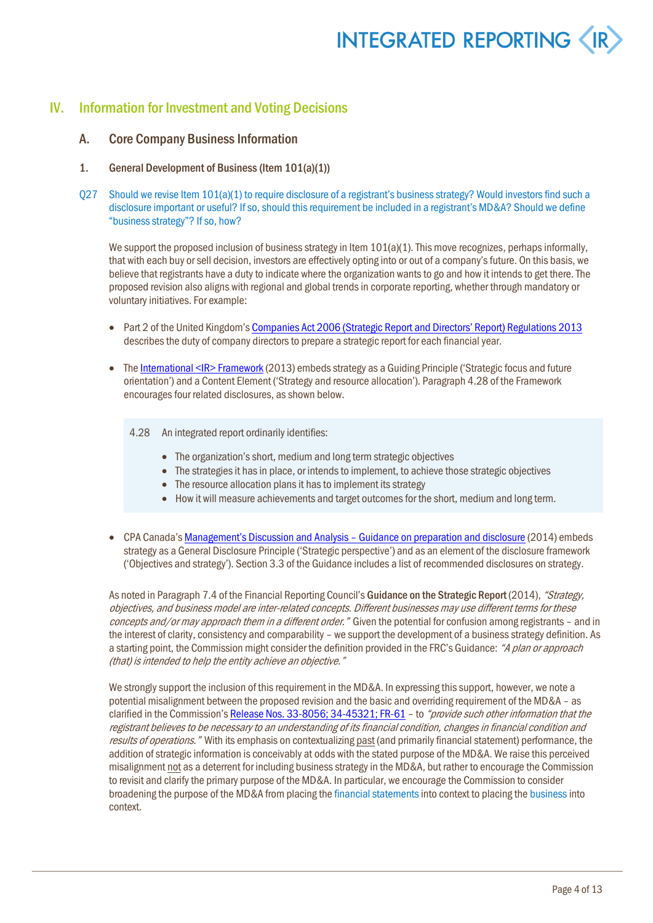### IV. Information for Investment and Voting Decisions

#### A. Core Company Business Information

- 1. General Development of Business (Item 101(a)(1))
- Q27 Should we revise Item 101(a)(1) to require disclosure of a registrant's business strategy? Would investors find such a disclosure important or useful? If so, should this requirement be included in a registrant's MD&A? Should we define "business strategy"? If so, how?

We support the proposed inclusion of business strategy in Item  $101(a)(1)$ . This move recognizes, perhaps informally, that with each buy or sell decision, investors are effectively opting into or out of a company's future. On this basis, we believe that registrants have a duty to indicate where the organization wants to go and how it intends to get there. The proposed revision also aligns with regional and global trendsin corporate reporting, whether through mandatory or voluntary initiatives. For example:

- Part 2 of the United Kingdom's Companies Act 2006 (Strategic Report and Directors' Report) Regulations 2013 describes the duty of company directors to prepare a strategic report for each financial year.
- The International <IR> Framework (2013) embeds strategy as a Guiding Principle ('Strategic focus and future orientation') and a Content Element ('Strategy and resource allocation'). Paragraph 4.28 of the Framework encourages four related disclosures, as shown below.
	- 4.28 An integrated report ordinarily identifies:
		- The organization's short, medium and long term strategic objectives
		- The strategies it has in place, or intends to implement, to achieve those strategic objectives
		- The resource allocation plans it has to implement its strategy
		- How it will measure achievements and target outcomes for the short, medium and long term.
- CPA Canada's Management's Discussion and Analysis Guidance on preparation and disclosure (2014) embeds strategy as a General Disclosure Principle ('Strategic perspective') and as an element of the disclosure framework ('Objectives and strategy'). Section 3.3 of the Guidance includes a list of recommended disclosures on strategy.

As noted in Paragraph 7.4 of the Financial Reporting Council's Guidance on the Strategic Report (2014), "Strategy, objectives, and business model are inter-related concepts. Different businesses may use different terms for these concepts and/or may approach them in a different order." Given the potential for confusion among registrants - and in the interest of clarity, consistency and comparability – we support the development of a business strategy definition. As a starting point, the Commission might consider the definition provided in the FRC's Guidance: "A plan or approach (that) is intended to help the entity achieve an objective."

We strongly support the inclusion of this requirement in the MD&A. In expressing this support, however, we note a potential misalignment between the proposed revision and the basic and overriding requirement of the MD&A – as clarified in the Commission's Release Nos. 33-8056; 34-45321; FR-61 - to "provide such other information that the registrant believes to be necessary to an understanding of its financial condition, changes in financial condition and results of operations." With its emphasis on contextualizing past (and primarily financial statement) performance, the addition of strategic information is conceivably at odds with the stated purpose of the MD&A. We raise this perceived misalignment not as a deterrent for including business strategy in the MD&A, but rather to encourage the Commission to revisit and clarify the primary purpose of the MD&A. In particular, we encourage the Commission to consider broadening the purpose of the MD&A from placing the financial statements into context to placing the business into context.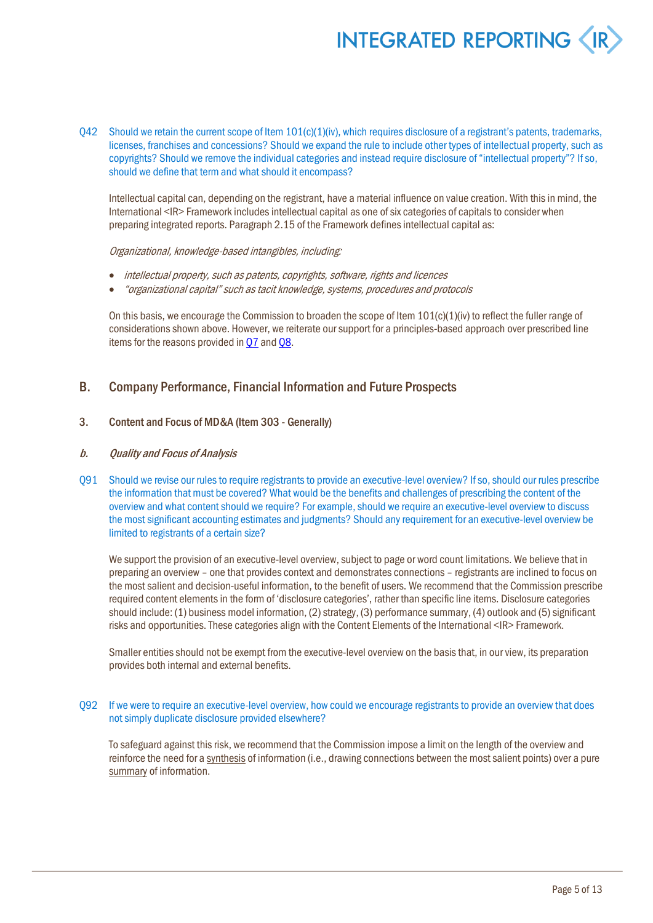O42 Should we retain the current scope of Item  $101(c)(1)(iv)$ , which requires disclosure of a registrant's patents, trademarks, licenses, franchises and concessions? Should we expand the rule to include other types of intellectual property, such as copyrights? Should we remove the individual categories and instead require disclosure of "intellectual property"? If so, should we define that term and what should it encompass?

Intellectual capital can, depending on the registrant, have a material influence on value creation. With this in mind, the International <IR> Framework includes intellectual capital as one of six categories of capitals to consider when preparing integrated reports. Paragraph 2.15 of the Framework defines intellectual capital as:

#### Organizational, knowledge-based intangibles, including:

- intellectual property, such as patents, copyrights, software, rights and licences
- "organizational capital" such as tacit knowledge, systems, procedures and protocols

On this basis, we encourage the Commission to broaden the scope of Item  $101(c)(1)(iv)$  to reflect the fuller range of considerations shown above. However, we reiterate our support for a principles-based approach over prescribed line items for the reasons provided i[n Q7](#page-5-0) an[d Q8.](#page-5-1)

#### B. Company Performance, Financial Information and Future Prospects

#### 3. Content and Focus of MD&A (Item 303 - Generally)

#### b. Quality and Focus of Analysis

<span id="page-8-0"></span>Q91 Should we revise our rules to require registrants to provide an executive-level overview? If so, should our rules prescribe the information that must be covered? What would be the benefits and challenges of prescribing the content of the overview and what content should we require? For example, should we require an executive-level overview to discuss the most significant accounting estimates and judgments? Should any requirement for an executive-level overview be limited to registrants of a certain size?

We support the provision of an executive-level overview, subject to page or word count limitations. We believe that in preparing an overview – one that provides context and demonstrates connections – registrants are inclined to focus on the most salient and decision-useful information, to the benefit of users. We recommend that the Commission prescribe required content elements in the form of 'disclosure categories', rather than specific line items. Disclosure categories should include: (1) business model information, (2) strategy, (3) performance summary, (4) outlook and (5) significant risks and opportunities. These categories align with the Content Elements of the International <IR> Framework.

Smaller entities should not be exempt from the executive-level overview on the basis that, in our view, its preparation provides both internal and external benefits.

#### Q92 If we were to require an executive-level overview, how could we encourage registrants to provide an overview that does not simply duplicate disclosure provided elsewhere?

To safeguard against this risk, we recommend that the Commission impose a limit on the length of the overview and reinforce the need for a synthesis of information (i.e., drawing connections between the most salient points) over a pure summary of information.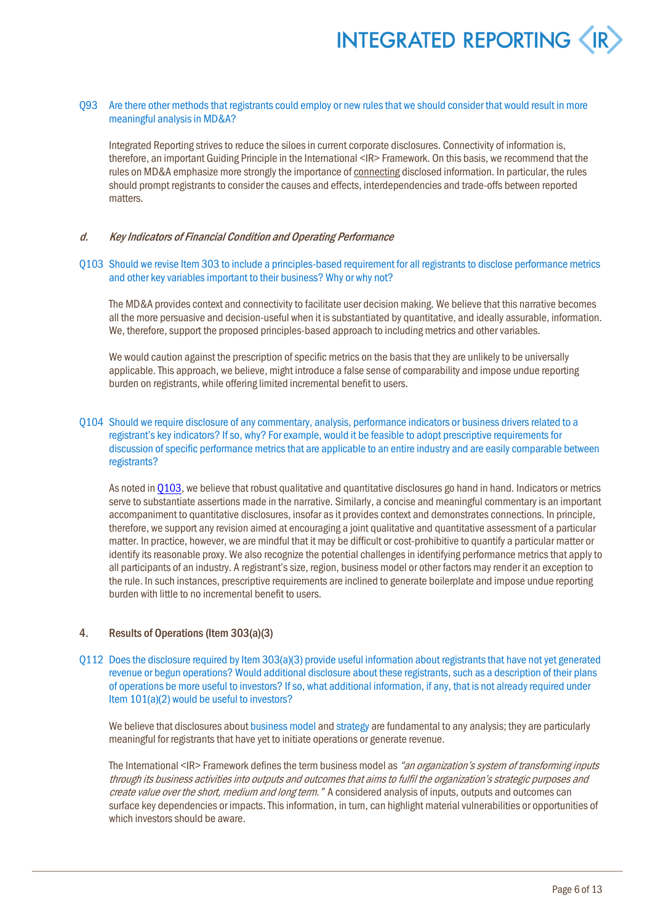#### Q93 Are there other methods that registrants could employ or new rules that we should consider that would result in more meaningful analysis in MD&A?

Integrated Reporting strives to reduce the siloes in current corporate disclosures. Connectivity of information is, therefore, an important Guiding Principle in the International <IR> Framework. On this basis, we recommend that the rules on MD&A emphasize more strongly the importance of connecting disclosed information. In particular, the rules should prompt registrants to consider the causes and effects, interdependencies and trade-offs between reported matters.

#### d. Key Indicators of Financial Condition and Operating Performance

#### <span id="page-9-0"></span>Q103 Should we revise Item 303 to include a principles-based requirement for all registrants to disclose performance metrics and other key variables important to their business? Why or why not?

The MD&A provides context and connectivity to facilitate user decision making. We believe that this narrative becomes all the more persuasive and decision-useful when it is substantiated by quantitative, and ideally assurable, information. We, therefore, support the proposed principles-based approach to including metrics and other variables.

We would caution against the prescription of specific metrics on the basis that they are unlikely to be universally applicable. This approach, we believe, might introduce a false sense of comparability and impose undue reporting burden on registrants, while offering limited incremental benefit to users.

#### Q104 Should we require disclosure of any commentary, analysis, performance indicators or business drivers related to a registrant's key indicators? If so, why? For example, would it be feasible to adopt prescriptive requirements for discussion of specific performance metrics that are applicable to an entire industry and are easily comparable between registrants?

As noted i[n Q103,](#page-9-0) we believe that robust qualitative and quantitative disclosures go hand in hand. Indicators or metrics serve to substantiate assertions made in the narrative. Similarly, a concise and meaningful commentary is an important accompaniment to quantitative disclosures, insofar as it provides context and demonstrates connections. In principle, therefore, we support any revision aimed at encouraging a joint qualitative and quantitative assessment of a particular matter. In practice, however, we are mindful that it may be difficult or cost-prohibitive to quantify a particular matter or identify its reasonable proxy. We also recognize the potential challenges in identifying performance metrics that apply to all participants of an industry. A registrant's size, region, business model or other factors may render it an exception to the rule. In such instances, prescriptive requirements are inclined to generate boilerplate and impose undue reporting burden with little to no incremental benefit to users.

#### 4. Results of Operations (Item 303(a)(3)

Q112 Does the disclosure required by Item 303(a)(3) provide useful information about registrants that have not yet generated revenue or begun operations? Would additional disclosure about these registrants, such as a description of their plans of operations be more useful to investors? If so, what additional information, if any, that is not already required under Item 101(a)(2) would be useful to investors?

We believe that disclosures about business model and strategy are fundamental to any analysis; they are particularly meaningful for registrants that have yet to initiate operations or generate revenue.

The International <IR> Framework defines the term business model as "an organization's system of transforming inputs through its business activities into outputs and outcomes that aims to fulfil the organization's strategic purposes and create value over the short, medium and long term." A considered analysis of inputs, outputs and outcomes can surface key dependencies or impacts. This information, in turn, can highlight material vulnerabilities or opportunities of which investors should be aware.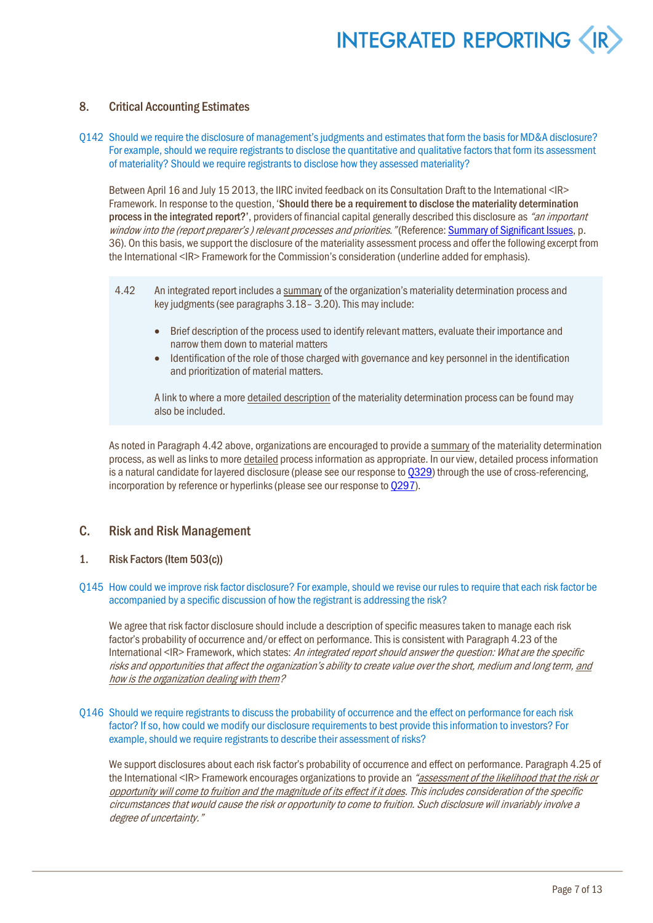#### 8. Critical Accounting Estimates

Q142 Should we require the disclosure of management's judgments and estimates that form the basis for MD&A disclosure? For example, should we require registrants to disclose the quantitative and qualitative factors that form its assessment of materiality? Should we require registrants to disclose how they assessed materiality?

Between April 16 and July 15 2013, the IIRC invited feedback on its Consultation Draft to the International <IR> Framework. In response to the question, 'Should there be a requirement to disclose the materiality determination process in the integrated report?', providers of financial capital generally described this disclosure as "an important window into the (report preparer's) relevant processes and priorities." (Reference: Summary of Significant Issues, p. 36). On this basis, we support the disclosure of the materiality assessment process and offer the following excerpt from the International <IR> Framework for the Commission's consideration (underline added for emphasis).

- 4.42 An integrated report includes a summary of the organization's materiality determination process and key judgments (see paragraphs 3.18– 3.20). This may include:
	- Brief description of the process used to identify relevant matters, evaluate their importance and narrow them down to material matters
	- Identification of the role of those charged with governance and key personnel in the identification and prioritization of material matters.

A link to where a more detailed description of the materiality determination process can be found may also be included.

As noted in Paragraph 4.42 above, organizations are encouraged to provide a summary of the materiality determination process, as well as links to more detailed process information as appropriate. In our view, detailed processinformation is a natural candidate for layered disclosure (please see our response t[o Q329\)](#page-16-0) through the use of cross-referencing, incorporation by reference or hyperlinks (please see our response t[o Q297\)](#page-15-0).

#### C. Risk and Risk Management

1. Risk Factors (Item 503(c))

#### <span id="page-10-0"></span>Q145 How could we improve risk factor disclosure? For example, should we revise our rules to require that each risk factor be accompanied by a specific discussion of how the registrant is addressing the risk?

We agree that risk factor disclosure should include a description of specific measures taken to manage each risk factor's probability of occurrence and/or effect on performance. This is consistent with Paragraph 4.23 of the International <IR> Framework, which states: An integrated report should answer the question: What are the specific risks and opportunities that affect the organization's ability to create value over the short, medium and long term, and how is the organization dealing with them?

<span id="page-10-1"></span>Q146 Should we require registrants to discuss the probability of occurrence and the effect on performance for each risk factor? If so, how could we modify our disclosure requirements to best provide this information to investors? For example, should we require registrants to describe their assessment of risks?

We support disclosures about each risk factor's probability of occurrence and effect on performance. Paragraph 4.25 of the International <IR> Framework encourages organizations to provide an "assessment of the likelihood that the risk or opportunity will come to fruition and the magnitude of its effect if it does. This includes consideration of the specific circumstances that would cause the risk or opportunity to come to fruition. Such disclosure will invariably involve a degree of uncertainty."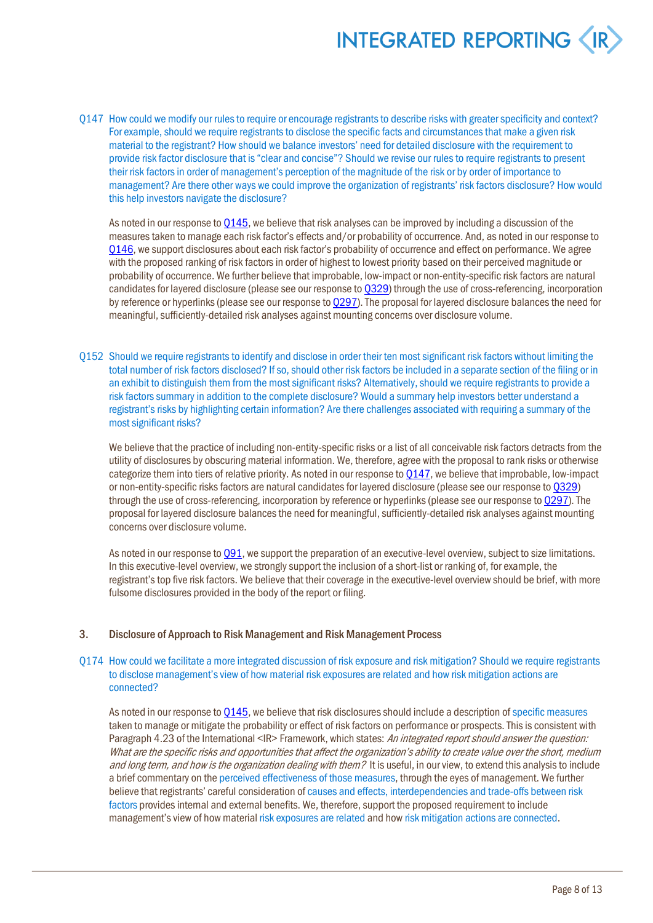<span id="page-11-0"></span>Q147 How could we modify our rules to require or encourage registrants to describe risks with greater specificity and context? For example, should we require registrants to disclose the specific facts and circumstances that make a given risk material to the registrant? How should we balance investors' need for detailed disclosure with the requirement to provide risk factor disclosure that is "clear and concise"? Should we revise our rules to require registrants to present their risk factors in order of management's perception of the magnitude of the risk or by order of importance to management? Are there other ways we could improve the organization of registrants' risk factors disclosure? How would this help investors navigate the disclosure?

As noted in our response t[o Q145,](#page-10-0) we believe that risk analyses can be improved by including a discussion of the measures taken to manage each risk factor's effects and/or probability of occurrence. And, as noted in our response to [Q146](#page-10-1), we support disclosures about each risk factor's probability of occurrence and effect on performance. We agree with the proposed ranking of risk factors in order of highest to lowest priority based on their perceived magnitude or probability of occurrence. We further believe that improbable, low-impact or non-entity-specific risk factors are natural candidates for layered disclosure (please see our response t[o Q329\)](#page-16-0) through the use of cross-referencing, incorporation by reference or hyperlinks (please see our response to [Q297\)](#page-15-0). The proposal for layered disclosure balances the need for meaningful, sufficiently-detailed risk analyses against mounting concerns over disclosure volume.

Q152 Should we require registrants to identify and disclose in order their ten most significant risk factors without limiting the total number of risk factors disclosed? If so, should other risk factors be included in a separate section of the filing or in an exhibit to distinguish them from the most significant risks? Alternatively, should we require registrants to provide a risk factors summary in addition to the complete disclosure? Would a summary help investors better understand a registrant's risks by highlighting certain information? Are there challenges associated with requiring a summary of the most significant risks?

We believe that the practice of including non-entity-specific risks or a list of all conceivable risk factors detracts from the utility of disclosures by obscuring material information. We, therefore, agree with the proposal to rank risks or otherwise categorize them into tiers of relative priority. As noted in our response t[o Q147,](#page-11-0) we believe that improbable, low-impact or non-entity-specific risks factors are natural candidates for layered disclosure (please see our response t[o Q329\)](#page-16-0) through the use of cross-referencing, incorporation by reference or hyperlinks (please see our response t[o Q297\)](#page-15-0). The proposal for layered disclosure balances the need for meaningful, sufficiently-detailed risk analyses against mounting concerns over disclosure volume.

As noted in our response t[o Q91,](#page-8-0) we support the preparation of an executive-level overview, subject to size limitations. In this executive-level overview, we strongly support the inclusion of a short-list or ranking of, for example, the registrant's top five risk factors. We believe that their coverage in the executive-level overview should be brief, with more fulsome disclosures provided in the body of the report or filing.

#### 3. Disclosure of Approach to Risk Management and Risk Management Process

#### Q174 How could we facilitate a more integrated discussion of risk exposure and risk mitigation? Should we require registrants to disclose management's view of how material risk exposures are related and how risk mitigation actions are connected?

As noted in our response t[o Q145,](#page-10-0) we believe that risk disclosures should include a description of specific measures taken to manage or mitigate the probability or effect of risk factors on performance or prospects. This is consistent with Paragraph 4.23 of the International <IR> Framework, which states: An integrated report should answer the question: What are the specific risks and opportunities that affect the organization's ability to create value over the short, medium and long term, and how is the organization dealing with them? It is useful, in our view, to extend this analysis to include a brief commentary on the perceived effectiveness of those measures, through the eyes of management. We further believe that registrants' careful consideration of causes and effects, interdependencies and trade-offs between risk factors provides internal and external benefits. We, therefore, support the proposed requirement to include management's view of how material risk exposures are related and how risk mitigation actions are connected.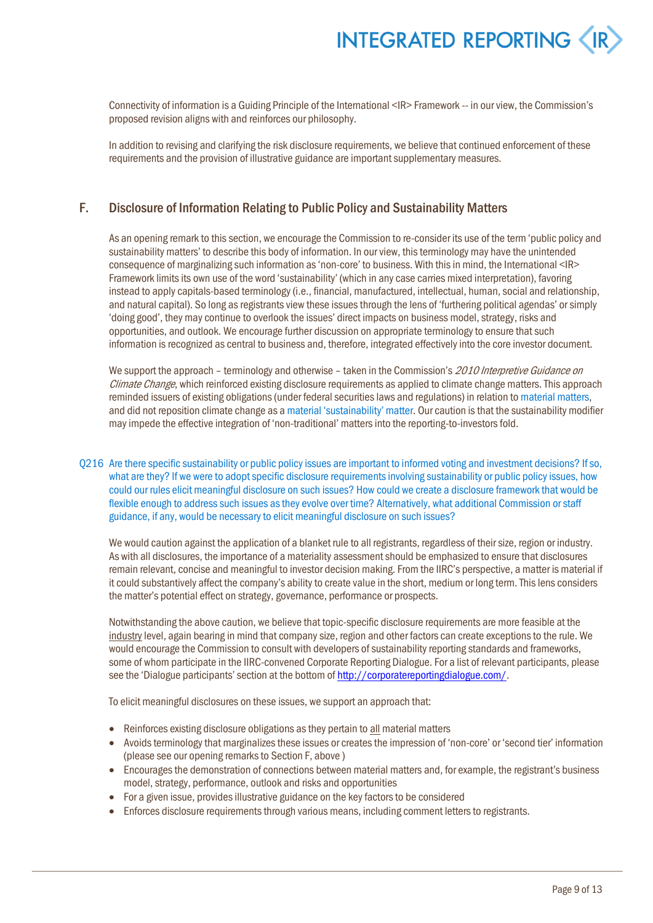

Connectivity of information is a Guiding Principle of the International <IR> Framework -- in our view, the Commission's proposed revision aligns with and reinforces our philosophy.

In addition to revising and clarifying the risk disclosure requirements, we believe that continued enforcement of these requirements and the provision of illustrative guidance are important supplementary measures.

#### <span id="page-12-1"></span>F. Disclosure of Information Relating to Public Policy and Sustainability Matters

As an opening remark to this section, we encourage the Commission to re-consider its use of the term 'public policy and sustainability matters' to describe this body of information. In our view, thisterminology may have the unintended consequence of marginalizing such information as 'non-core' to business. With this in mind, the International <IR> Framework limits its own use of the word 'sustainability' (which in any case carries mixed interpretation), favoring instead to apply capitals-based terminology (i.e., financial, manufactured, intellectual, human, social and relationship, and natural capital). So long as registrants view these issues through the lens of 'furthering political agendas' or simply 'doing good', they may continue to overlook the issues' direct impacts on business model, strategy, risks and opportunities, and outlook. We encourage further discussion on appropriate terminology to ensure that such information is recognized as central to business and, therefore, integrated effectively into the core investor document.

We support the approach – terminology and otherwise – taken in the Commission's 2010 Interpretive Guidance on Climate Change, which reinforced existing disclosure requirements as applied to climate change matters. This approach reminded issuers of existing obligations (under federal securities laws and regulations) in relation to material matters, and did not reposition climate change as a material 'sustainability' matter. Our caution is that the sustainability modifier may impede the effective integration of 'non-traditional' matters into the reporting-to-investors fold.

<span id="page-12-0"></span>Q216 Are there specific sustainability or public policy issues are important to informed voting and investment decisions? If so, what are they? If we were to adopt specific disclosure requirements involving sustainability or public policy issues, how could our rules elicit meaningful disclosure on such issues? How could we create a disclosure framework that would be flexible enough to address such issues as they evolve over time? Alternatively, what additional Commission or staff guidance, if any, would be necessary to elicit meaningful disclosure on such issues?

We would caution against the application of a blanket rule to all registrants, regardless of their size, region or industry. As with all disclosures, the importance of a materiality assessment should be emphasized to ensure that disclosures remain relevant, concise and meaningful to investor decision making. From the IIRC's perspective, a matter is material if it could substantively affect the company's ability to create value in the short, medium or long term. This lens considers the matter's potential effect on strategy, governance, performance or prospects.

Notwithstanding the above caution, we believe that topic-specific disclosure requirements are more feasible at the industrylevel, again bearing in mind that company size, region and other factors can create exceptions to the rule. We would encourage the Commission to consult with developers of sustainability reporting standards and frameworks, some of whom participate in the IIRC-convened Corporate Reporting Dialogue. For a list of relevant participants, please see the 'Dialogue participants' section at the bottom of http://corporatereportingdialogue.com/.

To elicit meaningful disclosures on these issues, we support an approach that:

- Reinforces existing disclosure obligations as they pertain to all material matters
- Avoids terminology that marginalizes these issues or creates the impression of 'non-core' or 'second tier' information (please see our opening remarks to Section F, above )
- Encourages the demonstration of connections between material matters and, for example, the registrant's business model, strategy, performance, outlook and risks and opportunities
- For a given issue, provides illustrative guidance on the key factors to be considered
- Enforces disclosure requirementsthrough various means, including comment letters to registrants.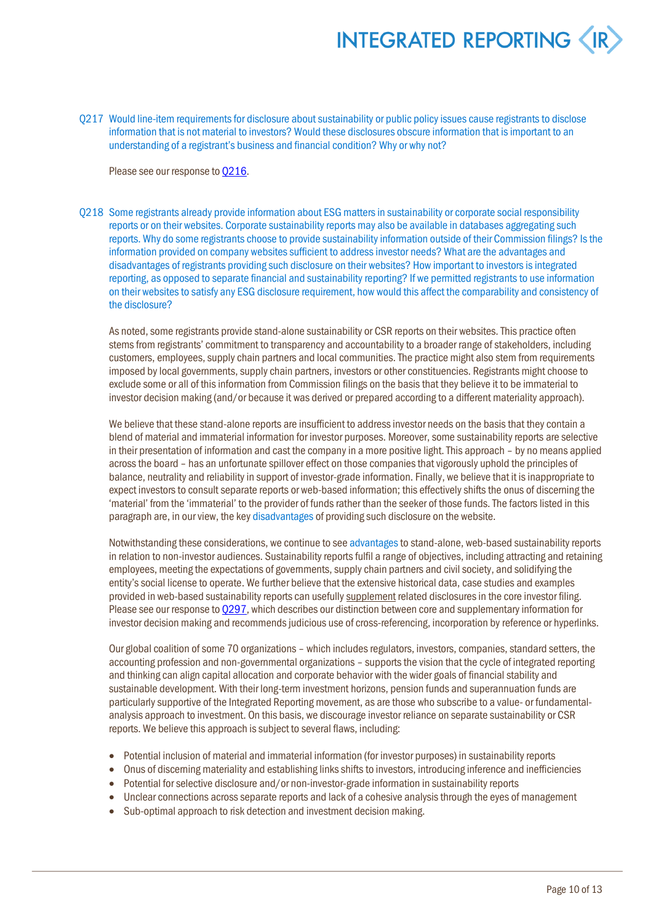Q217 Would line-item requirements for disclosure about sustainability or public policy issues cause registrants to disclose information that is not material to investors? Would these disclosures obscure information that is important to an understanding of a registrant's business and financial condition? Why or why not?

Please see our response t[o Q216.](#page-12-0)

Q218 Some registrants already provide information about ESG matters in sustainability or corporate social responsibility reports or on their websites. Corporate sustainability reports may also be available in databases aggregating such reports. Why do some registrants choose to provide sustainability information outside of their Commission filings? Is the information provided on company websites sufficient to address investor needs? What are the advantages and disadvantages of registrants providing such disclosure on their websites? How important to investors is integrated reporting, as opposed to separate financial and sustainability reporting? If we permitted registrants to use information on their websites to satisfy any ESG disclosure requirement, how would this affect the comparability and consistency of the disclosure?

As noted, some registrants provide stand-alone sustainability or CSR reports on their websites. This practice often stems from registrants' commitment to transparency and accountability to a broader range of stakeholders, including customers, employees, supply chain partners and local communities. The practice might also stem from requirements imposed by local governments, supply chain partners, investors or other constituencies. Registrants might choose to exclude some or all of thisinformation from Commission filings on the basis that they believe it to be immaterial to investor decision making (and/or because it was derived or prepared according to a different materiality approach).

We believe that these stand-alone reports are insufficient to address investor needs on the basis that they contain a blend of material and immaterial information for investor purposes. Moreover, some sustainability reports are selective in their presentation of information and cast the company in a more positive light. This approach – by no means applied across the board – has an unfortunate spillover effect on those companiesthat vigorously uphold the principles of balance, neutrality and reliability in support of investor-grade information. Finally, we believe that it is inappropriate to expect investors to consult separate reports or web-based information; this effectively shifts the onus of discerning the 'material' from the 'immaterial' to the provider of funds rather than the seeker of those funds. The factors listed in this paragraph are, in our view, the key disadvantages of providing such disclosure on the website.

Notwithstanding these considerations, we continue to see advantages to stand-alone, web-based sustainability reports in relation to non-investor audiences. Sustainability reports fulfil a range of objectives, including attracting and retaining employees, meeting the expectations of governments, supply chain partners and civil society, and solidifying the entity's social license to operate. We further believe that the extensive historical data, case studies and examples provided in web-based sustainability reports can usefully supplement related disclosures in the core investor filing. Please see our response t[o Q297,](#page-15-0) which describes our distinction between core and supplementary information for investor decision making and recommends judicious use of cross-referencing, incorporation by reference or hyperlinks.

Our global coalition of some 70 organizations – which includes regulators, investors, companies, standard setters, the accounting profession and non-governmental organizations – supports the vision that the cycle of integrated reporting and thinking can align capital allocation and corporate behavior with the wider goals of financial stability and sustainable development. With their long-term investment horizons, pension funds and superannuation funds are particularly supportive of the Integrated Reporting movement, as are those who subscribe to a value- or fundamentalanalysis approach to investment. On this basis, we discourage investor reliance on separate sustainability or CSR reports. We believe this approach is subject to several flaws, including:

- Potential inclusion of material and immaterial information (for investor purposes) in sustainability reports
- Onus of discerning materiality and establishing links shifts to investors, introducing inference and inefficiencies
- Potential for selective disclosure and/or non-investor-grade information in sustainability reports
- Unclear connections across separate reports and lack of a cohesive analysis through the eyes of management
- Sub-optimal approach to risk detection and investment decision making.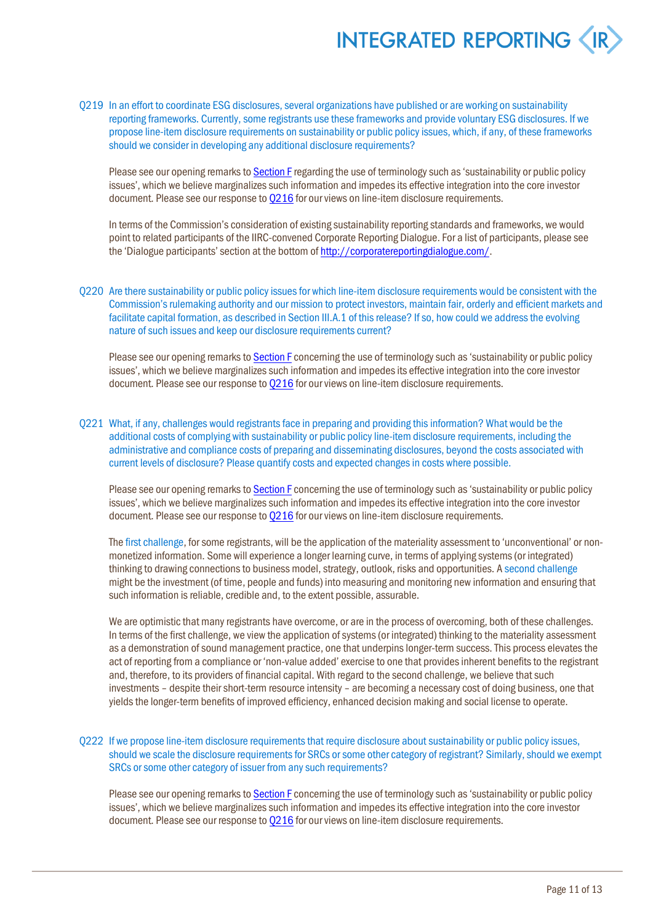Q219 In an effort to coordinate ESG disclosures, several organizations have published or are working on sustainability reporting frameworks. Currently, some registrants use these frameworks and provide voluntary ESG disclosures. If we propose line-item disclosure requirements on sustainability or public policy issues, which, if any, of these frameworks should we consider in developing any additional disclosure requirements?

Please see our opening remarks t[o Section F](#page-12-1) regarding the use of terminology such as 'sustainability or public policy issues', which we believe marginalizes such information and impedes its effective integration into the core investor document. Please see our response to 0216 for our views on line-item disclosure requirements.

In terms of the Commission's consideration of existing sustainability reporting standards and frameworks, we would point to related participants of the IIRC-convened Corporate Reporting Dialogue. For a list of participants, please see the 'Dialogue participants' section at the bottom of http://corporatereportingdialogue.com/.

Q220 Are there sustainability or public policy issues for which line-item disclosure requirements would be consistent with the Commission's rulemaking authority and our mission to protect investors, maintain fair, orderly and efficient markets and facilitate capital formation, as described in Section III.A.1 of this release? If so, how could we address the evolving nature of such issues and keep our disclosure requirements current?

Please see our opening remarks t[o Section F](#page-12-1) concerning the use of terminology such as 'sustainability or public policy issues', which we believe marginalizes such information and impedes its effective integration into the core investor document. Please see our response to  $Q216$  for our views on line-item disclosure requirements.

<span id="page-14-0"></span>Q221 What, if any, challenges would registrants face in preparing and providing this information? What would be the additional costs of complying with sustainability or public policy line-item disclosure requirements, including the administrative and compliance costs of preparing and disseminating disclosures, beyond the costs associated with current levels of disclosure? Please quantify costs and expected changes in costs where possible.

Please see our opening remarks t[o Section F](#page-12-1) concerning the use of terminology such as 'sustainability or public policy issues', which we believe marginalizes such information and impedes its effective integration into the core investor document. Please see our response t[o Q216](#page-12-0) for our views on line-item disclosure requirements.

The first challenge, for some registrants, will be the application of the materiality assessment to 'unconventional' or nonmonetized information. Some will experience a longer learning curve, in terms of applying systems (or integrated) thinking to drawing connections to business model, strategy, outlook, risks and opportunities. A second challenge might be the investment (of time, people and funds) into measuring and monitoring new information and ensuring that such information is reliable, credible and, to the extent possible, assurable.

We are optimistic that many registrants have overcome, or are in the process of overcoming, both of these challenges. In terms of the first challenge, we view the application of systems (or integrated) thinking to the materiality assessment as a demonstration of sound management practice, one that underpinslonger-term success. This process elevates the act of reporting from a compliance or 'non-value added' exercise to one that provides inherent benefits to the registrant and, therefore, to its providers of financial capital. With regard to the second challenge, we believe that such investments – despite their short-term resource intensity – are becoming a necessary cost of doing business, one that yields the longer-term benefits of improved efficiency, enhanced decision making and social license to operate.

#### Q222 If we propose line-item disclosure requirements that require disclosure about sustainability or public policy issues, should we scale the disclosure requirements for SRCs or some other category of registrant? Similarly, should we exempt SRCs or some other category of issuer from any such requirements?

Please see our opening remarks to **Section F** concerning the use of terminology such as 'sustainability or public policy issues', which we believe marginalizes such information and impedes its effective integration into the core investor document. Please see our response t[o Q216](#page-12-0) for our views on line-item disclosure requirements.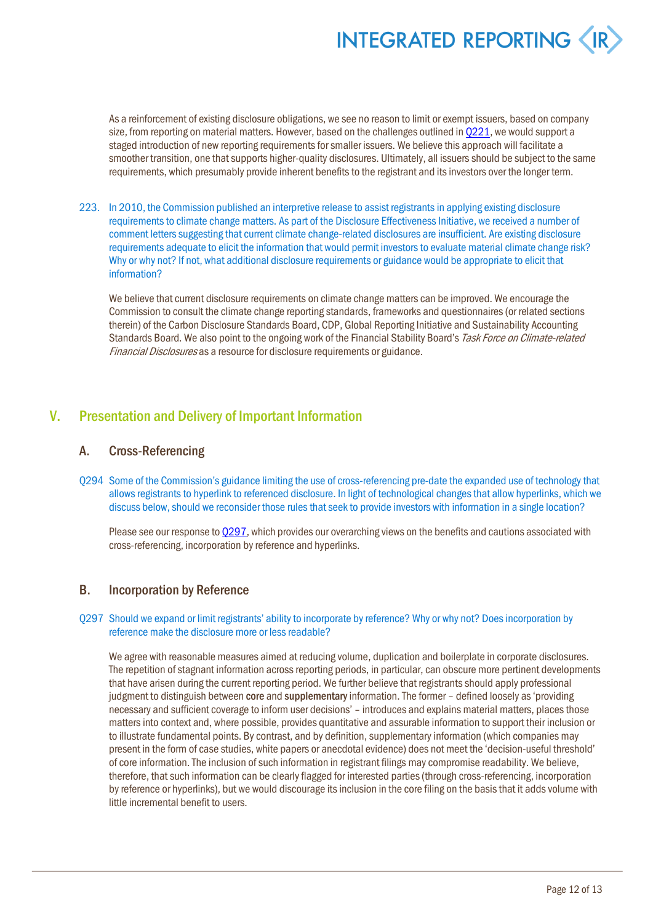As a reinforcement of existing disclosure obligations, we see no reason to limit or exempt issuers, based on company size, from reporting on material matters. However, based on the challenges outlined in 0221, we would support a staged introduction of new reporting requirements for smaller issuers. We believe this approach will facilitate a smoother transition, one that supports higher-quality disclosures. Ultimately, all issuers should be subject to the same requirements, which presumably provide inherent benefits to the registrant and its investors over the longer term.

223. In 2010, the Commission published an interpretive release to assist registrants in applying existing disclosure requirements to climate change matters. As part of the Disclosure Effectiveness Initiative, we received a number of comment letters suggesting that current climate change-related disclosures are insufficient. Are existing disclosure requirements adequate to elicit the information that would permit investors to evaluate material climate change risk? Why or why not? If not, what additional disclosure requirements or guidance would be appropriate to elicit that information?

We believe that current disclosure requirements on climate change matters can be improved. We encourage the Commission to consult the climate change reporting standards, frameworks and questionnaires (or related sections therein) of the Carbon Disclosure Standards Board, CDP, Global Reporting Initiative and Sustainability Accounting Standards Board. We also point to the ongoing work of the Financial Stability Board's Task Force on Climate-related Financial Disclosures as a resource for disclosure requirements or guidance.

### V. Presentation and Delivery of Important Information

#### A. Cross-Referencing

Q294 Some of the Commission's guidance limiting the use of cross-referencing pre-date the expanded use of technology that allows registrants to hyperlink to referenced disclosure. In light of technological changes that allow hyperlinks, which we discuss below, should we reconsider those rules that seek to provide investors with information in a single location?

Please see our response t[o Q297,](#page-15-0) which provides our overarching views on the benefits and cautions associated with cross-referencing, incorporation by reference and hyperlinks.

#### B. Incorporation by Reference

#### <span id="page-15-0"></span>Q297 Should we expand or limit registrants' ability to incorporate by reference? Why or why not? Does incorporation by reference make the disclosure more or less readable?

We agree with reasonable measures aimed at reducing volume, duplication and boilerplate in corporate disclosures. The repetition of stagnant information across reporting periods, in particular, can obscure more pertinent developments that have arisen during the current reporting period. We further believe that registrants should apply professional judgment to distinguish between core and supplementary information. The former - defined loosely as 'providing necessary and sufficient coverage to inform user decisions' – introduces and explains material matters, places those matters into context and, where possible, provides quantitative and assurable information to support their inclusion or to illustrate fundamental points. By contrast, and by definition, supplementary information (which companies may present in the form of case studies, white papers or anecdotal evidence) does not meet the 'decision-useful threshold' of core information. The inclusion of such information in registrant filings may compromise readability. We believe, therefore, that such information can be clearly flagged for interested parties (through cross-referencing, incorporation by reference or hyperlinks), but we would discourage its inclusion in the core filing on the basis that it adds volume with little incremental benefit to users.